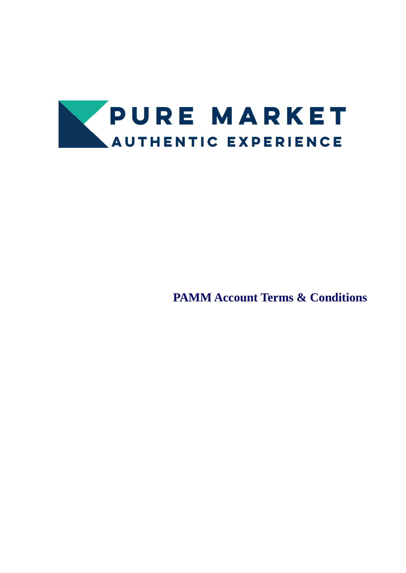

**PAMM Account Terms & Conditions**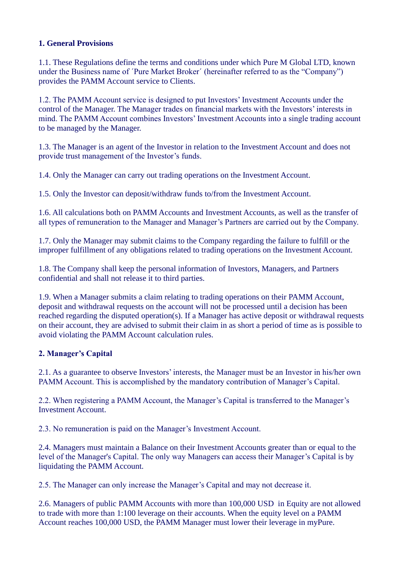### **1. General Provisions**

1.1. These Regulations define the terms and conditions under which Pure M Global LTD, known under the Business name of ´Pure Market Broker´ (hereinafter referred to as the "Company") provides the PAMM Account service to Clients.

1.2. The PAMM Account service is designed to put Investors' Investment Accounts under the control of the Manager. The Manager trades on financial markets with the Investors' interests in mind. The PAMM Account combines Investors' Investment Accounts into a single trading account to be managed by the Manager.

1.3. The Manager is an agent of the Investor in relation to the Investment Account and does not provide trust management of the Investor's funds.

1.4. Only the Manager can carry out trading operations on the Investment Account.

1.5. Only the Investor can deposit/withdraw funds to/from the Investment Account.

1.6. All calculations both on PAMM Accounts and Investment Accounts, as well as the transfer of all types of remuneration to the Manager and Manager's Partners are carried out by the Company.

1.7. Only the Manager may submit claims to the Company regarding the failure to fulfill or the improper fulfillment of any obligations related to trading operations on the Investment Account.

1.8. The Company shall keep the personal information of Investors, Managers, and Partners confidential and shall not release it to third parties.

1.9. When a Manager submits a claim relating to trading operations on their PAMM Account, deposit and withdrawal requests on the account will not be processed until a decision has been reached regarding the disputed operation(s). If a Manager has active deposit or withdrawal requests on their account, they are advised to submit their claim in as short a period of time as is possible to avoid violating the PAMM Account calculation rules.

### **2. Manager's Capital**

2.1. As a guarantee to observe Investors' interests, the Manager must be an Investor in his/her own PAMM Account. This is accomplished by the mandatory contribution of Manager's Capital.

2.2. When registering a PAMM Account, the Manager's Capital is transferred to the Manager's Investment Account.

2.3. No remuneration is paid on the Manager's Investment Account.

2.4. Managers must maintain a Balance on their Investment Accounts greater than or equal to the level of the Manager's Capital. The only way Managers can access their Manager's Capital is by liquidating the PAMM Account.

2.5. The Manager can only increase the Manager's Capital and may not decrease it.

2.6. Managers of public PAMM Accounts with more than 100,000 USD in Equity are not allowed to trade with more than 1:100 leverage on their accounts. When the equity level on a PAMM Account reaches 100,000 USD, the PAMM Manager must lower their leverage in myPure.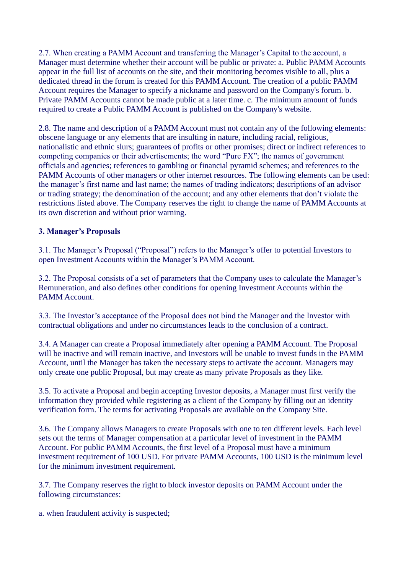2.7. When creating a PAMM Account and transferring the Manager's Capital to the account, a Manager must determine whether their account will be public or private: a. Public PAMM Accounts appear in the full list of accounts on the site, and their monitoring becomes visible to all, plus a dedicated thread in the forum is created for this PAMM Account. The creation of a public PAMM Account requires the Manager to specify a nickname and password on the Company's forum. b. Private PAMM Accounts cannot be made public at a later time. c. The minimum amount of funds required to create a Public PAMM Account is published on the Company's website.

2.8. The name and description of a PAMM Account must not contain any of the following elements: obscene language or any elements that are insulting in nature, including racial, religious, nationalistic and ethnic slurs; guarantees of profits or other promises; direct or indirect references to competing companies or their advertisements; the word "Pure FX"; the names of government officials and agencies; references to gambling or financial pyramid schemes; and references to the PAMM Accounts of other managers or other internet resources. The following elements can be used: the manager's first name and last name; the names of trading indicators; descriptions of an advisor or trading strategy; the denomination of the account; and any other elements that don't violate the restrictions listed above. The Company reserves the right to change the name of PAMM Accounts at its own discretion and without prior warning.

### **3. Manager's Proposals**

3.1. The Manager's Proposal ("Proposal") refers to the Manager's offer to potential Investors to open Investment Accounts within the Manager's PAMM Account.

3.2. The Proposal consists of a set of parameters that the Company uses to calculate the Manager's Remuneration, and also defines other conditions for opening Investment Accounts within the PAMM Account.

3.3. The Investor's acceptance of the Proposal does not bind the Manager and the Investor with contractual obligations and under no circumstances leads to the conclusion of a contract.

3.4. A Manager can create a Proposal immediately after opening a PAMM Account. The Proposal will be inactive and will remain inactive, and Investors will be unable to invest funds in the PAMM Account, until the Manager has taken the necessary steps to activate the account. Managers may only create one public Proposal, but may create as many private Proposals as they like.

3.5. To activate a Proposal and begin accepting Investor deposits, a Manager must first verify the information they provided while registering as a client of the Company by filling out an identity verification form. The terms for activating Proposals are available on the Company Site.

3.6. The Company allows Managers to create Proposals with one to ten different levels. Each level sets out the terms of Manager compensation at a particular level of investment in the PAMM Account. For public PAMM Accounts, the first level of a Proposal must have a minimum investment requirement of 100 USD. For private PAMM Accounts, 100 USD is the minimum level for the minimum investment requirement.

3.7. The Company reserves the right to block investor deposits on PAMM Account under the following circumstances:

a. when fraudulent activity is suspected;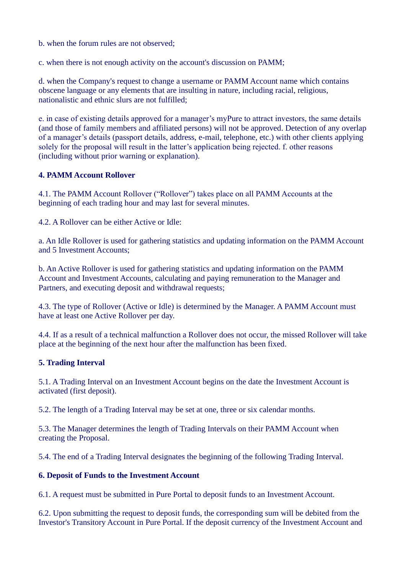b. when the forum rules are not observed;

c. when there is not enough activity on the account's discussion on PAMM;

d. when the Company's request to change a username or PAMM Account name which contains obscene language or any elements that are insulting in nature, including racial, religious, nationalistic and ethnic slurs are not fulfilled;

e. in case of existing details approved for a manager's myPure to attract investors, the same details (and those of family members and affiliated persons) will not be approved. Detection of any overlap of a manager's details (passport details, address, e-mail, telephone, etc.) with other clients applying solely for the proposal will result in the latter's application being rejected. f. other reasons (including without prior warning or explanation).

### **4. PAMM Account Rollover**

4.1. The PAMM Account Rollover ("Rollover") takes place on all PAMM Accounts at the beginning of each trading hour and may last for several minutes.

4.2. A Rollover can be either Active or Idle:

a. An Idle Rollover is used for gathering statistics and updating information on the PAMM Account and 5 Investment Accounts;

b. An Active Rollover is used for gathering statistics and updating information on the PAMM Account and Investment Accounts, calculating and paying remuneration to the Manager and Partners, and executing deposit and withdrawal requests;

4.3. The type of Rollover (Active or Idle) is determined by the Manager. A PAMM Account must have at least one Active Rollover per day.

4.4. If as a result of a technical malfunction a Rollover does not occur, the missed Rollover will take place at the beginning of the next hour after the malfunction has been fixed.

### **5. Trading Interval**

5.1. A Trading Interval on an Investment Account begins on the date the Investment Account is activated (first deposit).

5.2. The length of a Trading Interval may be set at one, three or six calendar months.

5.3. The Manager determines the length of Trading Intervals on their PAMM Account when creating the Proposal.

5.4. The end of a Trading Interval designates the beginning of the following Trading Interval.

### **6. Deposit of Funds to the Investment Account**

6.1. A request must be submitted in Pure Portal to deposit funds to an Investment Account.

6.2. Upon submitting the request to deposit funds, the corresponding sum will be debited from the Investor's Transitory Account in Pure Portal. If the deposit currency of the Investment Account and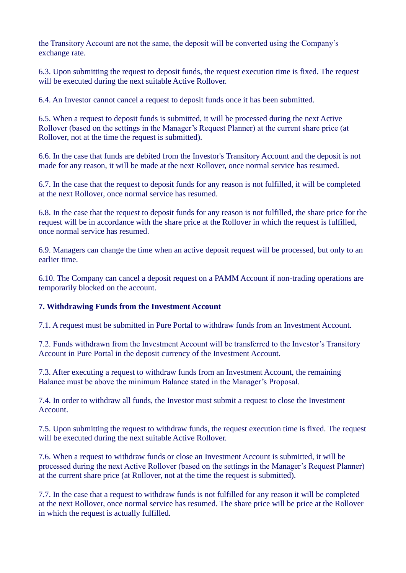the Transitory Account are not the same, the deposit will be converted using the Company's exchange rate.

6.3. Upon submitting the request to deposit funds, the request execution time is fixed. The request will be executed during the next suitable Active Rollover.

6.4. An Investor cannot cancel a request to deposit funds once it has been submitted.

6.5. When a request to deposit funds is submitted, it will be processed during the next Active Rollover (based on the settings in the Manager's Request Planner) at the current share price (at Rollover, not at the time the request is submitted).

6.6. In the case that funds are debited from the Investor's Transitory Account and the deposit is not made for any reason, it will be made at the next Rollover, once normal service has resumed.

6.7. In the case that the request to deposit funds for any reason is not fulfilled, it will be completed at the next Rollover, once normal service has resumed.

6.8. In the case that the request to deposit funds for any reason is not fulfilled, the share price for the request will be in accordance with the share price at the Rollover in which the request is fulfilled, once normal service has resumed.

6.9. Managers can change the time when an active deposit request will be processed, but only to an earlier time.

6.10. The Company can cancel a deposit request on a PAMM Account if non-trading operations are temporarily blocked on the account.

#### **7. Withdrawing Funds from the Investment Account**

7.1. A request must be submitted in Pure Portal to withdraw funds from an Investment Account.

7.2. Funds withdrawn from the Investment Account will be transferred to the Investor's Transitory Account in Pure Portal in the deposit currency of the Investment Account.

7.3. After executing a request to withdraw funds from an Investment Account, the remaining Balance must be above the minimum Balance stated in the Manager's Proposal.

7.4. In order to withdraw all funds, the Investor must submit a request to close the Investment Account.

7.5. Upon submitting the request to withdraw funds, the request execution time is fixed. The request will be executed during the next suitable Active Rollover.

7.6. When a request to withdraw funds or close an Investment Account is submitted, it will be processed during the next Active Rollover (based on the settings in the Manager's Request Planner) at the current share price (at Rollover, not at the time the request is submitted).

7.7. In the case that a request to withdraw funds is not fulfilled for any reason it will be completed at the next Rollover, once normal service has resumed. The share price will be price at the Rollover in which the request is actually fulfilled.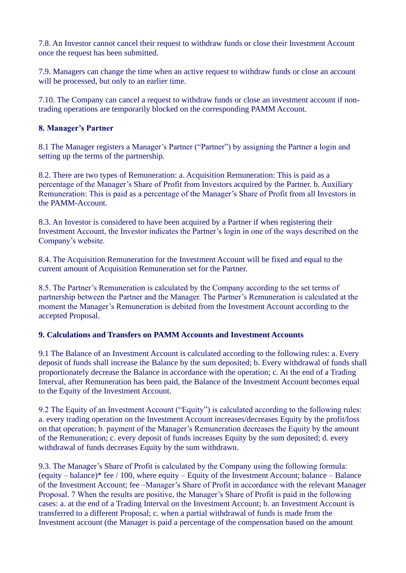7.8. An Investor cannot cancel their request to withdraw funds or close their Investment Account once the request has been submitted.

7.9. Managers can change the time when an active request to withdraw funds or close an account will be processed, but only to an earlier time.

7.10. The Company can cancel a request to withdraw funds or close an investment account if nontrading operations are temporarily blocked on the corresponding PAMM Account.

### **8. Manager's Partner**

8.1 The Manager registers a Manager's Partner ("Partner") by assigning the Partner a login and setting up the terms of the partnership.

8.2. There are two types of Remuneration: a. Acquisition Remuneration: This is paid as a percentage of the Manager's Share of Profit from Investors acquired by the Partner. b. Auxiliary Remuneration: This is paid as a percentage of the Manager's Share of Profit from all Investors in the PAMM-Account.

8.3. An Investor is considered to have been acquired by a Partner if when registering their Investment Account, the Investor indicates the Partner's login in one of the ways described on the Company's website.

8.4. The Acquisition Remuneration for the Investment Account will be fixed and equal to the current amount of Acquisition Remuneration set for the Partner.

8.5. The Partner's Remuneration is calculated by the Company according to the set terms of partnership between the Partner and the Manager. The Partner's Remuneration is calculated at the moment the Manager's Remuneration is debited from the Investment Account according to the accepted Proposal.

### **9. Calculations and Transfers on PAMM Accounts and Investment Accounts**

9.1 The Balance of an Investment Account is calculated according to the following rules: a. Every deposit of funds shall increase the Balance by the sum deposited; b. Every withdrawal of funds shall proportionately decrease the Balance in accordance with the operation; c. At the end of a Trading Interval, after Remuneration has been paid, the Balance of the Investment Account becomes equal to the Equity of the Investment Account.

9.2 The Equity of an Investment Account ("Equity") is calculated according to the following rules: a. every trading operation on the Investment Account increases/decreases Equity by the profit/loss on that operation; b. payment of the Manager's Remuneration decreases the Equity by the amount of the Remuneration; c. every deposit of funds increases Equity by the sum deposited; d. every withdrawal of funds decreases Equity by the sum withdrawn.

9.3. The Manager's Share of Profit is calculated by the Company using the following formula: (equity – balance)\* fee / 100, where equity – Equity of the Investment Account; balance – Balance of the Investment Account; fee –Manager's Share of Profit in accordance with the relevant Manager Proposal. 7 When the results are positive, the Manager's Share of Profit is paid in the following cases: a. at the end of a Trading Interval on the Investment Account; b. an Investment Account is transferred to a different Proposal; c. when a partial withdrawal of funds is made from the Investment account (the Manager is paid a percentage of the compensation based on the amount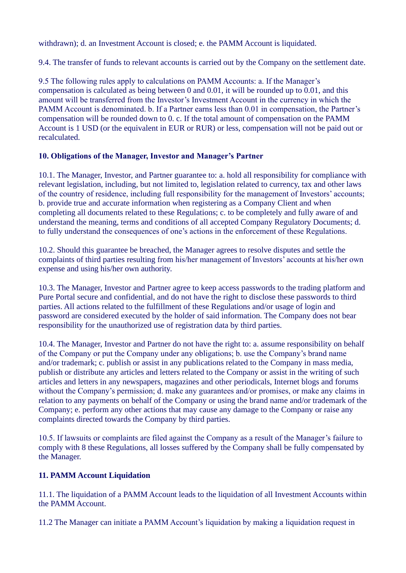withdrawn); d. an Investment Account is closed; e. the PAMM Account is liquidated.

9.4. The transfer of funds to relevant accounts is carried out by the Company on the settlement date.

9.5 The following rules apply to calculations on PAMM Accounts: a. If the Manager's compensation is calculated as being between 0 and 0.01, it will be rounded up to 0.01, and this amount will be transferred from the Investor's Investment Account in the currency in which the PAMM Account is denominated. b. If a Partner earns less than 0.01 in compensation, the Partner's compensation will be rounded down to 0. c. If the total amount of compensation on the PAMM Account is 1 USD (or the equivalent in EUR or RUR) or less, compensation will not be paid out or recalculated.

# **10. Obligations of the Manager, Investor and Manager's Partner**

10.1. The Manager, Investor, and Partner guarantee to: a. hold all responsibility for compliance with relevant legislation, including, but not limited to, legislation related to currency, tax and other laws of the country of residence, including full responsibility for the management of Investors' accounts; b. provide true and accurate information when registering as a Company Client and when completing all documents related to these Regulations; c. to be completely and fully aware of and understand the meaning, terms and conditions of all accepted Company Regulatory Documents; d. to fully understand the consequences of one's actions in the enforcement of these Regulations.

10.2. Should this guarantee be breached, the Manager agrees to resolve disputes and settle the complaints of third parties resulting from his/her management of Investors' accounts at his/her own expense and using his/her own authority.

10.3. The Manager, Investor and Partner agree to keep access passwords to the trading platform and Pure Portal secure and confidential, and do not have the right to disclose these passwords to third parties. All actions related to the fulfillment of these Regulations and/or usage of login and password are considered executed by the holder of said information. The Company does not bear responsibility for the unauthorized use of registration data by third parties.

10.4. The Manager, Investor and Partner do not have the right to: a. assume responsibility on behalf of the Company or put the Company under any obligations; b. use the Company's brand name and/or trademark; c. publish or assist in any publications related to the Company in mass media, publish or distribute any articles and letters related to the Company or assist in the writing of such articles and letters in any newspapers, magazines and other periodicals, Internet blogs and forums without the Company's permission; d. make any guarantees and/or promises, or make any claims in relation to any payments on behalf of the Company or using the brand name and/or trademark of the Company; e. perform any other actions that may cause any damage to the Company or raise any complaints directed towards the Company by third parties.

10.5. If lawsuits or complaints are filed against the Company as a result of the Manager's failure to comply with 8 these Regulations, all losses suffered by the Company shall be fully compensated by the Manager.

# **11. PAMM Account Liquidation**

11.1. The liquidation of a PAMM Account leads to the liquidation of all Investment Accounts within the PAMM Account.

11.2 The Manager can initiate a PAMM Account's liquidation by making a liquidation request in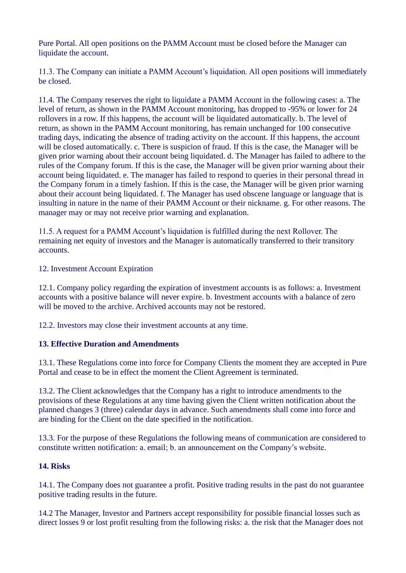Pure Portal. All open positions on the PAMM Account must be closed before the Manager can liquidate the account.

11.3. The Company can initiate a PAMM Account's liquidation. All open positions will immediately be closed.

11.4. The Company reserves the right to liquidate a PAMM Account in the following cases: a. The level of return, as shown in the PAMM Account monitoring, has dropped to -95% or lower for 24 rollovers in a row. If this happens, the account will be liquidated automatically. b. The level of return, as shown in the PAMM Account monitoring, has remain unchanged for 100 consecutive trading days, indicating the absence of trading activity on the account. If this happens, the account will be closed automatically. c. There is suspicion of fraud. If this is the case, the Manager will be given prior warning about their account being liquidated. d. The Manager has failed to adhere to the rules of the Company forum. If this is the case, the Manager will be given prior warning about their account being liquidated. e. The manager has failed to respond to queries in their personal thread in the Company forum in a timely fashion. If this is the case, the Manager will be given prior warning about their account being liquidated. f. The Manager has used obscene language or language that is insulting in nature in the name of their PAMM Account or their nickname. g. For other reasons. The manager may or may not receive prior warning and explanation.

11.5. A request for a PAMM Account's liquidation is fulfilled during the next Rollover. The remaining net equity of investors and the Manager is automatically transferred to their transitory accounts.

12. Investment Account Expiration

12.1. Company policy regarding the expiration of investment accounts is as follows: a. Investment accounts with a positive balance will never expire. b. Investment accounts with a balance of zero will be moved to the archive. Archived accounts may not be restored.

12.2. Investors may close their investment accounts at any time.

### **13. Effective Duration and Amendments**

13.1. These Regulations come into force for Company Clients the moment they are accepted in Pure Portal and cease to be in effect the moment the Client Agreement is terminated.

13.2. The Client acknowledges that the Company has a right to introduce amendments to the provisions of these Regulations at any time having given the Client written notification about the planned changes 3 (three) calendar days in advance. Such amendments shall come into force and are binding for the Client on the date specified in the notification.

13.3. For the purpose of these Regulations the following means of communication are considered to constitute written notification: a. email; b. an announcement on the Company's website.

### **14. Risks**

14.1. The Company does not guarantee a profit. Positive trading results in the past do not guarantee positive trading results in the future.

14.2 The Manager, Investor and Partners accept responsibility for possible financial losses such as direct losses 9 or lost profit resulting from the following risks: a. the risk that the Manager does not